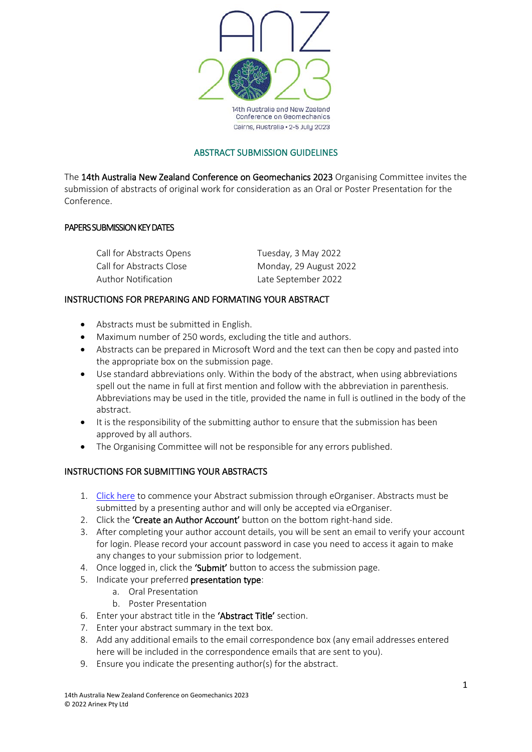

### ABSTRACT SUBMISSION GUIDELINES

The 14th Australia New Zealand Conference on Geomechanics 2023 Organising Committee invites the submission of abstracts of original work for consideration as an Oral or Poster Presentation for the Conference.

### PAPERS SUBMISSION KEY DATES

Call for Abstracts Opens Tuesday, 3 May 2022 Author Notification Late September 2022

Call for Abstracts Close Monday, 29 August 2022

### INSTRUCTIONS FOR PREPARING AND FORMATING YOUR ABSTRACT

- Abstracts must be submitted in English.
- Maximum number of 250 words, excluding the title and authors.
- Abstracts can be prepared in Microsoft Word and the text can then be copy and pasted into the appropriate box on the submission page.
- Use standard abbreviations only. Within the body of the abstract, when using abbreviations spell out the name in full at first mention and follow with the abbreviation in parenthesis. Abbreviations may be used in the title, provided the name in full is outlined in the body of the abstract.
- It is the responsibility of the submitting author to ensure that the submission has been approved by all authors.
- The Organising Committee will not be responsible for any errors published.

# INSTRUCTIONS FOR SUBMITTING YOUR ABSTRACTS

- 1. [Click here](https://anzgeo2023-c10000.eorganiser.com.au/index.php?r=site/login) to commence your Abstract submission through eOrganiser. Abstracts must be submitted by a presenting author and will only be accepted via eOrganiser.
- 2. Click the 'Create an Author Account' button on the bottom right-hand side.
- 3. After completing your author account details, you will be sent an email to verify your account for login. Please record your account password in case you need to access it again to make any changes to your submission prior to lodgement.
- 4. Once logged in, click the 'Submit' button to access the submission page.
- 5. Indicate your preferred presentation type:
	- a. Oral Presentation
	- b. Poster Presentation
- 6. Enter your abstract title in the 'Abstract Title' section.
- 7. Enter your abstract summary in the text box.
- 8. Add any additional emails to the email correspondence box (any email addresses entered here will be included in the correspondence emails that are sent to you).
- 9. Ensure you indicate the presenting author(s) for the abstract.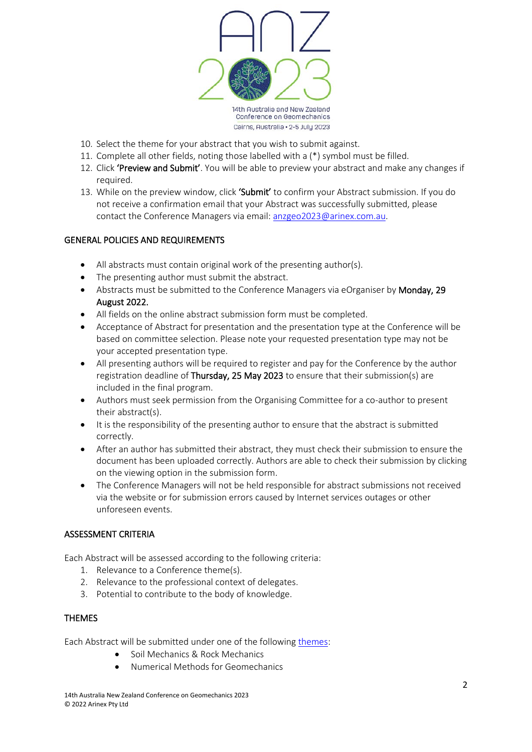

- 10. Select the theme for your abstract that you wish to submit against.
- 11. Complete all other fields, noting those labelled with a (\*) symbol must be filled.
- 12. Click 'Preview and Submit'. You will be able to preview your abstract and make any changes if required.
- 13. While on the preview window, click 'Submit' to confirm your Abstract submission. If you do not receive a confirmation email that your Abstract was successfully submitted, please contact the Conference Managers via email[: anzgeo2023@arinex.com.au.](mailto:anzgeo2023@arinex.com.au)

## GENERAL POLICIES AND REQUIREMENTS

- All abstracts must contain original work of the presenting author(s).
- The presenting author must submit the abstract.
- Abstracts must be submitted to the Conference Managers via eOrganiser by Monday, 29 August 2022.
- All fields on the online abstract submission form must be completed.
- Acceptance of Abstract for presentation and the presentation type at the Conference will be based on committee selection. Please note your requested presentation type may not be your accepted presentation type.
- All presenting authors will be required to register and pay for the Conference by the author registration deadline of Thursday, 25 May 2023 to ensure that their submission(s) are included in the final program.
- Authors must seek permission from the Organising Committee for a co-author to present their abstract(s).
- It is the responsibility of the presenting author to ensure that the abstract is submitted correctly.
- After an author has submitted their abstract, they must check their submission to ensure the document has been uploaded correctly. Authors are able to check their submission by clicking on the viewing option in the submission form.
- The Conference Managers will not be held responsible for abstract submissions not received via the website or for submission errors caused by Internet services outages or other unforeseen events.

# ASSESSMENT CRITERIA

Each Abstract will be assessed according to the following criteria:

- 1. Relevance to a Conference theme(s).
- 2. Relevance to the professional context of delegates.
- 3. Potential to contribute to the body of knowledge.

### **THEMES**

Each Abstract will be submitted under one of the following [themes:](https://anzgeo2023.com.au/program/abstract-submission/)

- Soil Mechanics & Rock Mechanics
- Numerical Methods for Geomechanics